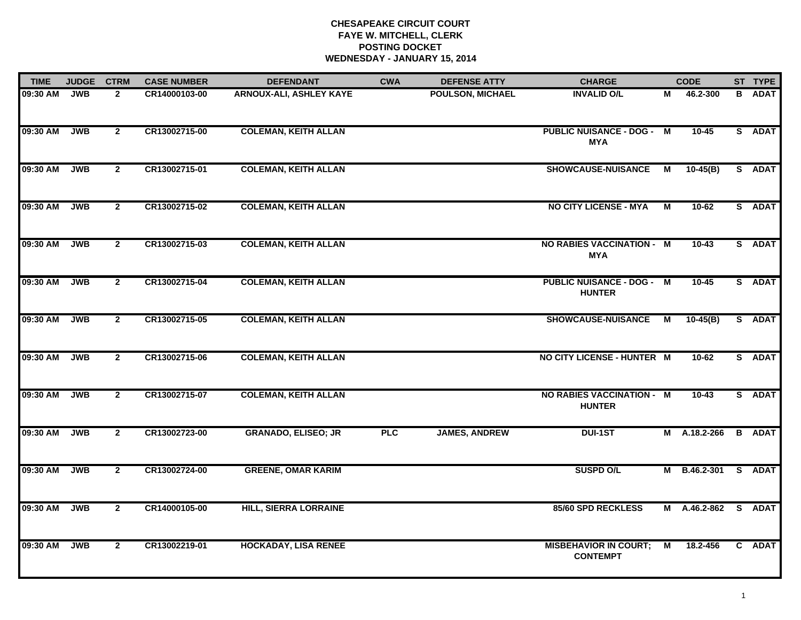| <b>TIME</b> | <b>JUDGE</b> | <b>CTRM</b>    | <b>CASE NUMBER</b> | <b>DEFENDANT</b>               | <b>CWA</b> | <b>DEFENSE ATTY</b>     | <b>CHARGE</b>                                     |   | <b>CODE</b>         | ST TYPE       |
|-------------|--------------|----------------|--------------------|--------------------------------|------------|-------------------------|---------------------------------------------------|---|---------------------|---------------|
| 09:30 AM    | <b>JWB</b>   | $\mathbf{2}$   | CR14000103-00      | <b>ARNOUX-ALI, ASHLEY KAYE</b> |            | <b>POULSON, MICHAEL</b> | <b>INVALID O/L</b>                                | М | 46.2-300            | <b>B</b> ADAT |
| 09:30 AM    | <b>JWB</b>   | $\overline{2}$ | CR13002715-00      | <b>COLEMAN, KEITH ALLAN</b>    |            |                         | <b>PUBLIC NUISANCE - DOG - M</b><br><b>MYA</b>    |   | $10-45$             | S ADAT        |
| 09:30 AM    | <b>JWB</b>   | $\overline{2}$ | CR13002715-01      | <b>COLEMAN, KEITH ALLAN</b>    |            |                         | <b>SHOWCAUSE-NUISANCE</b>                         | M | $10-45(B)$          | S ADAT        |
| 09:30 AM    | <b>JWB</b>   | $\mathbf{2}$   | CR13002715-02      | <b>COLEMAN, KEITH ALLAN</b>    |            |                         | <b>NO CITY LICENSE - MYA</b>                      | М | 10-62               | S ADAT        |
| 09:30 AM    | <b>JWB</b>   | $\overline{2}$ | CR13002715-03      | <b>COLEMAN, KEITH ALLAN</b>    |            |                         | NO RABIES VACCINATION - M<br><b>MYA</b>           |   | $10 - 43$           | S ADAT        |
| 09:30 AM    | <b>JWB</b>   | $\mathbf{2}$   | CR13002715-04      | <b>COLEMAN, KEITH ALLAN</b>    |            |                         | <b>PUBLIC NUISANCE - DOG - M</b><br><b>HUNTER</b> |   | $10 - 45$           | S ADAT        |
| 09:30 AM    | <b>JWB</b>   | $\overline{2}$ | CR13002715-05      | <b>COLEMAN, KEITH ALLAN</b>    |            |                         | <b>SHOWCAUSE-NUISANCE</b>                         | М | $10-45(B)$          | S ADAT        |
| 09:30 AM    | <b>JWB</b>   | $\overline{2}$ | CR13002715-06      | <b>COLEMAN, KEITH ALLAN</b>    |            |                         | NO CITY LICENSE - HUNTER M                        |   | 10-62               | S ADAT        |
| 09:30 AM    | <b>JWB</b>   | $\mathbf{2}$   | CR13002715-07      | <b>COLEMAN, KEITH ALLAN</b>    |            |                         | <b>NO RABIES VACCINATION - M</b><br><b>HUNTER</b> |   | $10 - 43$           | S ADAT        |
| 09:30 AM    | <b>JWB</b>   | $\overline{2}$ | CR13002723-00      | <b>GRANADO, ELISEO; JR</b>     | <b>PLC</b> | <b>JAMES, ANDREW</b>    | <b>DUI-1ST</b>                                    |   | M A.18.2-266        | <b>B</b> ADAT |
| 09:30 AM    | <b>JWB</b>   | $\mathbf{2}$   | CR13002724-00      | <b>GREENE, OMAR KARIM</b>      |            |                         | <b>SUSPD O/L</b>                                  |   | M B.46.2-301        | S ADAT        |
| 09:30 AM    | <b>JWB</b>   | $\mathbf{2}$   | CR14000105-00      | <b>HILL, SIERRA LORRAINE</b>   |            |                         | 85/60 SPD RECKLESS                                |   | M A.46.2-862 S ADAT |               |
| 09:30 AM    | <b>JWB</b>   | $\mathbf{2}$   | CR13002219-01      | <b>HOCKADAY, LISA RENEE</b>    |            |                         | <b>MISBEHAVIOR IN COURT;</b><br><b>CONTEMPT</b>   | M | 18.2-456            | C ADAT        |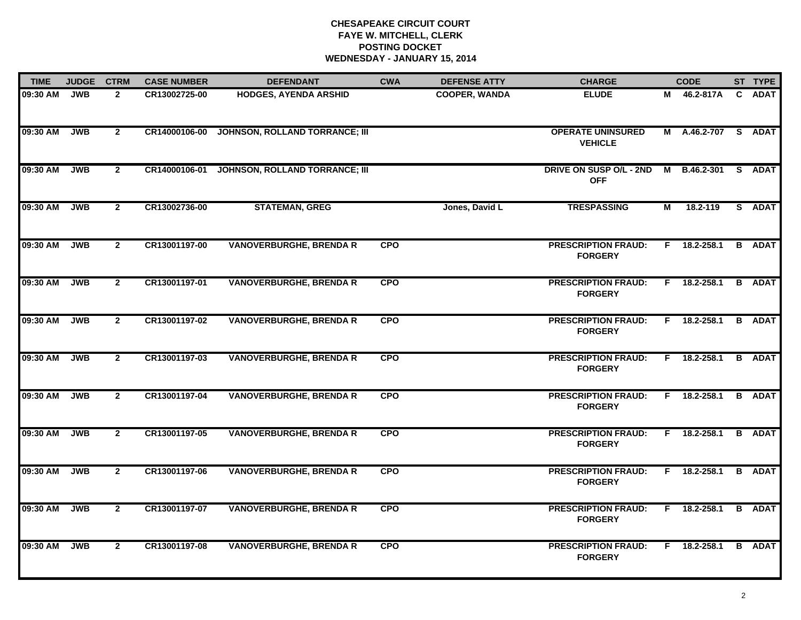| <b>TIME</b> | <b>JUDGE</b> | <b>CTRM</b>    | <b>CASE NUMBER</b> | <b>DEFENDANT</b>                      | <b>CWA</b> | <b>DEFENSE ATTY</b>  | <b>CHARGE</b>                                |   | <b>CODE</b>         | ST TYPE       |
|-------------|--------------|----------------|--------------------|---------------------------------------|------------|----------------------|----------------------------------------------|---|---------------------|---------------|
| 09:30 AM    | <b>JWB</b>   | $\mathbf{2}$   | CR13002725-00      | <b>HODGES, AYENDA ARSHID</b>          |            | <b>COOPER, WANDA</b> | <b>ELUDE</b>                                 | м | 46.2-817A           | C ADAT        |
| 09:30 AM    | <b>JWB</b>   | $\overline{2}$ | CR14000106-00      | JOHNSON, ROLLAND TORRANCE; III        |            |                      | <b>OPERATE UNINSURED</b><br><b>VEHICLE</b>   |   | M A.46.2-707 S ADAT |               |
| 09:30 AM    | <b>JWB</b>   | $\overline{2}$ | CR14000106-01      | <b>JOHNSON, ROLLAND TORRANCE; III</b> |            |                      | DRIVE ON SUSP O/L - 2ND<br><b>OFF</b>        |   | M B.46.2-301 S ADAT |               |
| 09:30 AM    | <b>JWB</b>   | $\mathbf{2}$   | CR13002736-00      | <b>STATEMAN, GREG</b>                 |            | Jones, David L       | <b>TRESPASSING</b>                           | М | 18.2-119            | S ADAT        |
| 09:30 AM    | <b>JWB</b>   | $\overline{2}$ | CR13001197-00      | <b>VANOVERBURGHE, BRENDA R</b>        | <b>CPO</b> |                      | <b>PRESCRIPTION FRAUD:</b><br><b>FORGERY</b> |   | F 18.2-258.1        | <b>B</b> ADAT |
| 09:30 AM    | <b>JWB</b>   | $\mathbf{2}$   | CR13001197-01      | <b>VANOVERBURGHE, BRENDA R</b>        | <b>CPO</b> |                      | <b>PRESCRIPTION FRAUD:</b><br><b>FORGERY</b> |   | $F$ 18.2-258.1      | <b>B</b> ADAT |
| 09:30 AM    | <b>JWB</b>   | $\overline{2}$ | CR13001197-02      | <b>VANOVERBURGHE, BRENDA R</b>        | <b>CPO</b> |                      | <b>PRESCRIPTION FRAUD:</b><br><b>FORGERY</b> |   | $F$ 18.2-258.1      | <b>B</b> ADAT |
| 09:30 AM    | <b>JWB</b>   | $\overline{2}$ | CR13001197-03      | <b>VANOVERBURGHE, BRENDA R</b>        | <b>CPO</b> |                      | <b>PRESCRIPTION FRAUD:</b><br><b>FORGERY</b> |   | $F$ 18.2-258.1      | <b>B</b> ADAT |
| 09:30 AM    | <b>JWB</b>   | $\mathbf{2}$   | CR13001197-04      | <b>VANOVERBURGHE, BRENDA R</b>        | <b>CPO</b> |                      | <b>PRESCRIPTION FRAUD:</b><br><b>FORGERY</b> |   | F 18.2-258.1        | <b>B</b> ADAT |
| 09:30 AM    | <b>JWB</b>   | $\overline{2}$ | CR13001197-05      | <b>VANOVERBURGHE, BRENDA R</b>        | <b>CPO</b> |                      | <b>PRESCRIPTION FRAUD:</b><br><b>FORGERY</b> |   | F 18.2-258.1        | <b>B</b> ADAT |
| 09:30 AM    | <b>JWB</b>   | $\mathbf{2}$   | CR13001197-06      | <b>VANOVERBURGHE, BRENDA R</b>        | <b>CPO</b> |                      | <b>PRESCRIPTION FRAUD:</b><br><b>FORGERY</b> |   | $F$ 18.2-258.1      | <b>B</b> ADAT |
| 09:30 AM    | <b>JWB</b>   | $\overline{2}$ | CR13001197-07      | <b>VANOVERBURGHE, BRENDA R</b>        | <b>CPO</b> |                      | <b>PRESCRIPTION FRAUD:</b><br><b>FORGERY</b> |   | $F$ 18.2-258.1      | <b>B</b> ADAT |
| 09:30 AM    | <b>JWB</b>   | $\mathbf{2}$   | CR13001197-08      | <b>VANOVERBURGHE, BRENDA R</b>        | <b>CPO</b> |                      | <b>PRESCRIPTION FRAUD:</b><br><b>FORGERY</b> |   | $F$ 18.2-258.1      | <b>B</b> ADAT |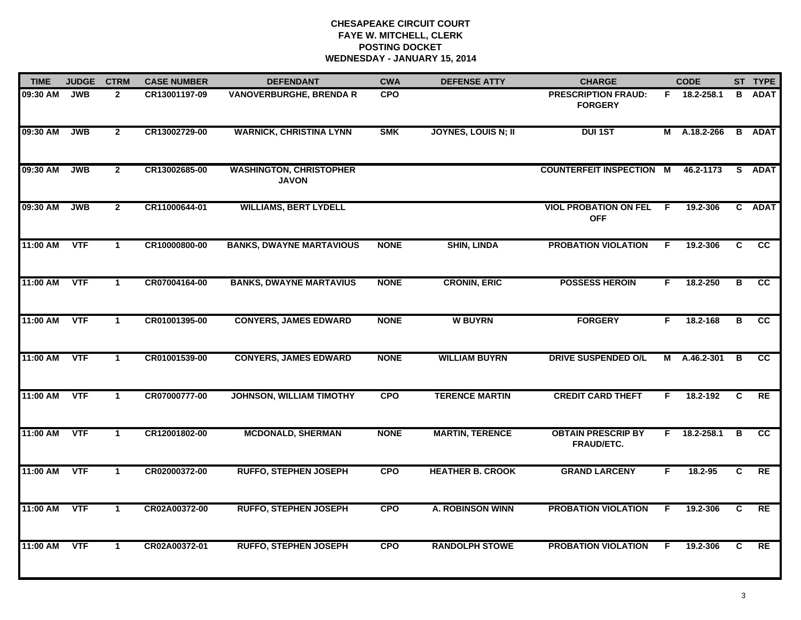| <b>TIME</b> | <b>JUDGE</b> | <b>CTRM</b>          | <b>CASE NUMBER</b> | <b>DEFENDANT</b>                               | <b>CWA</b>  | <b>DEFENSE ATTY</b>        | <b>CHARGE</b>                                |     | <b>CODE</b>  |    | ST TYPE         |
|-------------|--------------|----------------------|--------------------|------------------------------------------------|-------------|----------------------------|----------------------------------------------|-----|--------------|----|-----------------|
| 09:30 AM    | <b>JWB</b>   | $\mathbf{2}$         | CR13001197-09      | <b>VANOVERBURGHE, BRENDA R</b>                 | <b>CPO</b>  |                            | <b>PRESCRIPTION FRAUD:</b><br><b>FORGERY</b> |     | F 18.2-258.1 | B. | <b>ADAT</b>     |
| 09:30 AM    | <b>JWB</b>   | $\overline{2}$       | CR13002729-00      | <b>WARNICK, CHRISTINA LYNN</b>                 | <b>SMK</b>  | <b>JOYNES, LOUIS N; II</b> | <b>DUI 1ST</b>                               |     | M A.18.2-266 |    | <b>B</b> ADAT   |
| 09:30 AM    | <b>JWB</b>   | $\overline{2}$       | CR13002685-00      | <b>WASHINGTON, CHRISTOPHER</b><br><b>JAVON</b> |             |                            | <b>COUNTERFEIT INSPECTION M</b>              |     | 46.2-1173    |    | S ADAT          |
| 09:30 AM    | <b>JWB</b>   | $\mathbf{2}$         | CR11000644-01      | <b>WILLIAMS, BERT LYDELL</b>                   |             |                            | <b>VIOL PROBATION ON FEL</b><br><b>OFF</b>   | - F | 19.2-306     |    | C ADAT          |
| 11:00 AM    | <b>VTF</b>   | $\mathbf{1}$         | CR10000800-00      | <b>BANKS, DWAYNE MARTAVIOUS</b>                | <b>NONE</b> | <b>SHIN, LINDA</b>         | <b>PROBATION VIOLATION</b>                   | F.  | 19.2-306     | C  | <b>CC</b>       |
| 11:00 AM    | <b>VTF</b>   | $\mathbf{1}$         | CR07004164-00      | <b>BANKS, DWAYNE MARTAVIUS</b>                 | <b>NONE</b> | <b>CRONIN, ERIC</b>        | <b>POSSESS HEROIN</b>                        | F.  | 18.2-250     | В  | <b>CC</b>       |
| 11:00 AM    | <b>VTF</b>   | $\mathbf{1}$         | CR01001395-00      | <b>CONYERS, JAMES EDWARD</b>                   | <b>NONE</b> | <b>W BUYRN</b>             | <b>FORGERY</b>                               | F.  | 18.2-168     | в  | $\overline{cc}$ |
| 11:00 AM    | <b>VTF</b>   | $\mathbf{1}$         | CR01001539-00      | <b>CONYERS, JAMES EDWARD</b>                   | <b>NONE</b> | <b>WILLIAM BUYRN</b>       | <b>DRIVE SUSPENDED O/L</b>                   |     | M A.46.2-301 | B  | cc              |
| 11:00 AM    | <b>VTF</b>   | $\blacktriangleleft$ | CR07000777-00      | <b>JOHNSON, WILLIAM TIMOTHY</b>                | <b>CPO</b>  | <b>TERENCE MARTIN</b>      | <b>CREDIT CARD THEFT</b>                     | F   | 18.2-192     | C  | RE              |
| 11:00 AM    | <b>VTF</b>   | $\mathbf{1}$         | CR12001802-00      | <b>MCDONALD, SHERMAN</b>                       | <b>NONE</b> | <b>MARTIN, TERENCE</b>     | <b>OBTAIN PRESCRIP BY</b><br>FRAUD/ETC.      | F.  | 18.2-258.1   | В  | cc              |
| 11:00 AM    | <b>VTF</b>   | $\mathbf 1$          | CR02000372-00      | <b>RUFFO, STEPHEN JOSEPH</b>                   | <b>CPO</b>  | <b>HEATHER B. CROOK</b>    | <b>GRAND LARCENY</b>                         | F.  | 18.2-95      | C  | RE              |
| 11:00 AM    | <b>VTF</b>   | $\mathbf{1}$         | CR02A00372-00      | <b>RUFFO, STEPHEN JOSEPH</b>                   | <b>CPO</b>  | <b>A. ROBINSON WINN</b>    | <b>PROBATION VIOLATION</b>                   | F.  | 19.2-306     | C  | RE              |
| 11:00 AM    | <b>VTF</b>   | $\mathbf{1}$         | CR02A00372-01      | <b>RUFFO, STEPHEN JOSEPH</b>                   | <b>CPO</b>  | <b>RANDOLPH STOWE</b>      | <b>PROBATION VIOLATION</b>                   | F.  | 19.2-306     | C. | RE              |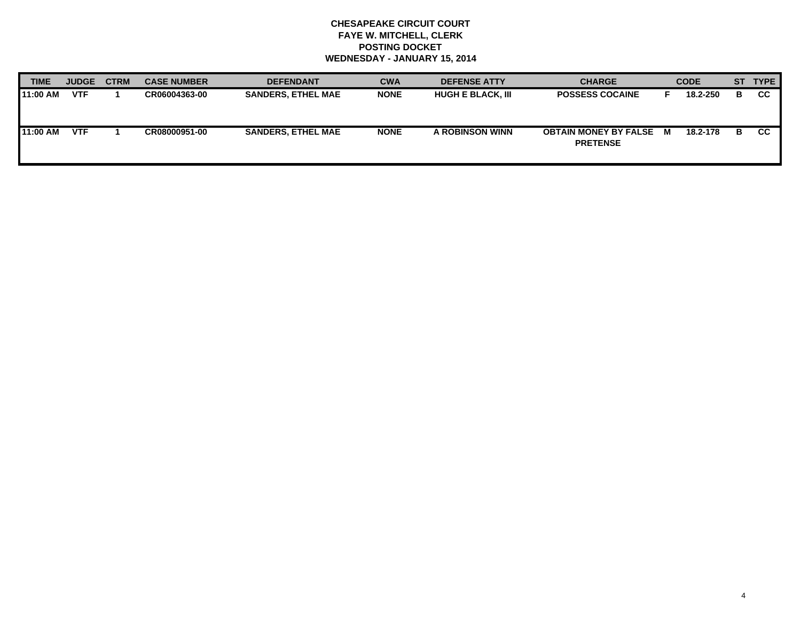| <b>TIME</b> | <b>JUDGE</b> | <b>CTRM</b> | <b>CASE NUMBER</b> | <b>DEFENDANT</b>          | <b>CWA</b>  | <b>DEFENSE ATTY</b>      | <b>CHARGE</b>                                     | <b>CODE</b> |    | ST TYPE   |
|-------------|--------------|-------------|--------------------|---------------------------|-------------|--------------------------|---------------------------------------------------|-------------|----|-----------|
| 11:00 AM    | <b>VTF</b>   |             | CR06004363-00      | <b>SANDERS, ETHEL MAE</b> | <b>NONE</b> | <b>HUGH E BLACK, III</b> | <b>POSSESS COCAINE</b>                            | 18.2-250    | в  | <b>CC</b> |
| 11:00 AM    | <b>VTF</b>   |             | CR08000951-00      | <b>SANDERS. ETHEL MAE</b> | <b>NONE</b> | A ROBINSON WINN          | <b>OBTAIN MONEY BY FALSE M</b><br><b>PRETENSE</b> | 18.2-178    | -В | <b>CC</b> |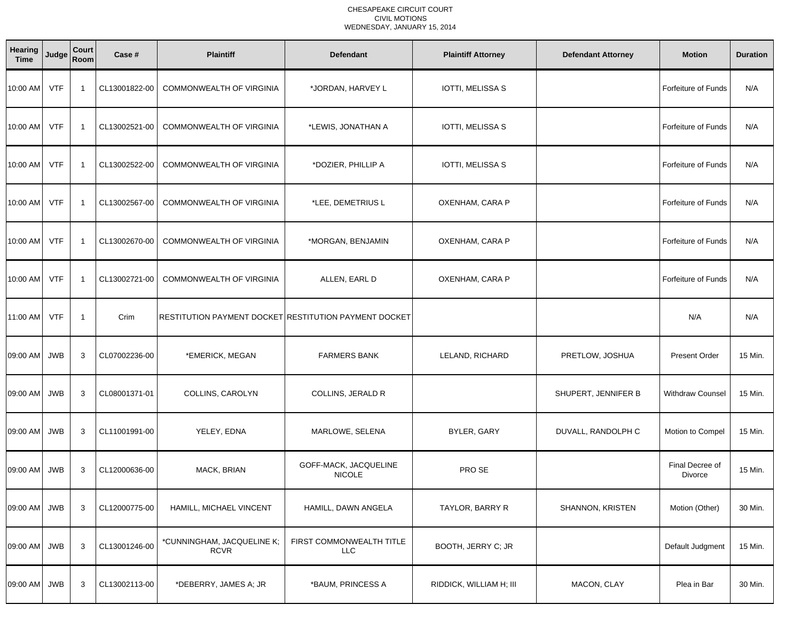### CHESAPEAKE CIRCUIT COURT CIVIL MOTIONSWEDNESDAY, JANUARY 15, 2014

| Hearing<br><b>Time</b> | Judge      | Court<br>Room           | Case #        | <b>Plaintiff</b>                                      | <b>Defendant</b>                       | <b>Plaintiff Attorney</b> | <b>Defendant Attorney</b> | <b>Motion</b>              | <b>Duration</b> |
|------------------------|------------|-------------------------|---------------|-------------------------------------------------------|----------------------------------------|---------------------------|---------------------------|----------------------------|-----------------|
| 10:00 AM               | <b>VTF</b> | $\overline{\mathbf{1}}$ | CL13001822-00 | <b>COMMONWEALTH OF VIRGINIA</b>                       | *JORDAN, HARVEY L                      | <b>IOTTI, MELISSA S</b>   |                           | <b>Forfeiture of Funds</b> | N/A             |
| 10:00 AM               | <b>VTF</b> | $\overline{1}$          | CL13002521-00 | <b>COMMONWEALTH OF VIRGINIA</b>                       | *LEWIS, JONATHAN A                     | IOTTI, MELISSA S          |                           | <b>Forfeiture of Funds</b> | N/A             |
| 10:00 AM               | <b>VTF</b> | $\overline{1}$          | CL13002522-00 | <b>COMMONWEALTH OF VIRGINIA</b>                       | *DOZIER, PHILLIP A                     | IOTTI, MELISSA S          |                           | <b>Forfeiture of Funds</b> | N/A             |
| 10:00 AM               | <b>VTF</b> | $\overline{1}$          | CL13002567-00 | COMMONWEALTH OF VIRGINIA                              | *LEE, DEMETRIUS L                      | OXENHAM, CARA P           |                           | Forfeiture of Funds        | N/A             |
| 10:00 AM               | <b>VTF</b> | $\overline{1}$          | CL13002670-00 | COMMONWEALTH OF VIRGINIA                              | *MORGAN, BENJAMIN                      | OXENHAM, CARA P           |                           | Forfeiture of Funds        | N/A             |
| 10:00 AM               | <b>VTF</b> | $\overline{1}$          | CL13002721-00 | COMMONWEALTH OF VIRGINIA                              | ALLEN, EARL D                          | OXENHAM, CARA P           |                           | Forfeiture of Funds        | N/A             |
| 11:00 AM               | <b>VTF</b> | $\overline{1}$          | Crim          | RESTITUTION PAYMENT DOCKET RESTITUTION PAYMENT DOCKET |                                        |                           |                           | N/A                        | N/A             |
| 09:00 AM               | <b>JWB</b> | 3                       | CL07002236-00 | *EMERICK, MEGAN                                       | <b>FARMERS BANK</b>                    | LELAND, RICHARD           | PRETLOW, JOSHUA           | <b>Present Order</b>       | 15 Min.         |
| 09:00 AM               | <b>JWB</b> | 3                       | CL08001371-01 | COLLINS, CAROLYN                                      | COLLINS, JERALD R                      |                           | SHUPERT, JENNIFER B       | <b>Withdraw Counsel</b>    | 15 Min.         |
| 09:00 AM               | <b>JWB</b> | 3                       | CL11001991-00 | YELEY, EDNA                                           | MARLOWE, SELENA                        | BYLER, GARY               | DUVALL, RANDOLPH C        | Motion to Compel           | 15 Min.         |
| 09:00 AM               | <b>JWB</b> | 3                       | CL12000636-00 | MACK, BRIAN                                           | GOFF-MACK, JACQUELINE<br><b>NICOLE</b> | PRO SE                    |                           | Final Decree of<br>Divorce | 15 Min.         |
| 09:00 AM JWB           |            | 3                       | CL12000775-00 | HAMILL, MICHAEL VINCENT                               | HAMILL, DAWN ANGELA                    | TAYLOR, BARRY R           | SHANNON, KRISTEN          | Motion (Other)             | 30 Min.         |
| 09:00 AM               | <b>JWB</b> | 3                       | CL13001246-00 | *CUNNINGHAM, JACQUELINE K;<br><b>RCVR</b>             | FIRST COMMONWEALTH TITLE<br><b>LLC</b> | BOOTH, JERRY C; JR        |                           | Default Judgment           | 15 Min.         |
| 09:00 AM               | JWB        | 3                       | CL13002113-00 | *DEBERRY, JAMES A; JR                                 | *BAUM, PRINCESS A                      | RIDDICK, WILLIAM H; III   | MACON, CLAY               | Plea in Bar                | 30 Min.         |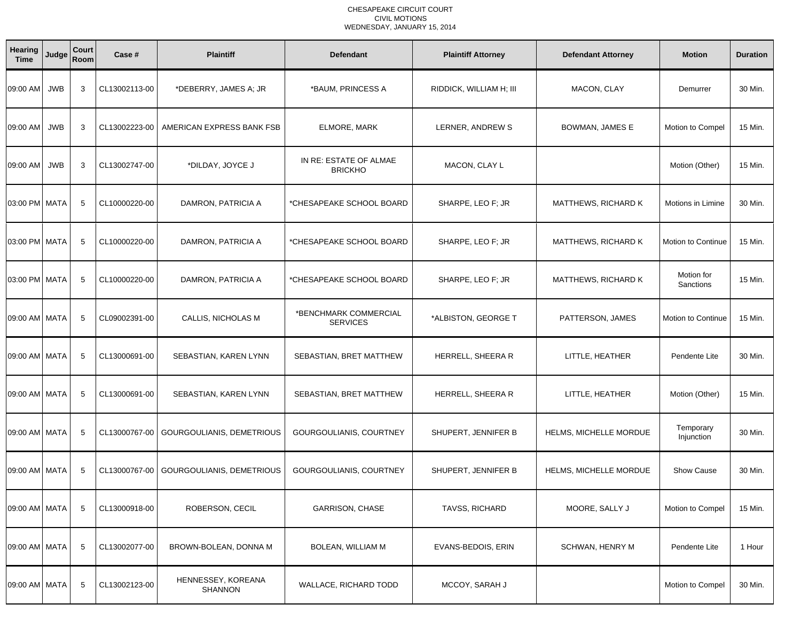### CHESAPEAKE CIRCUIT COURT CIVIL MOTIONSWEDNESDAY, JANUARY 15, 2014

| Hearing<br><b>Time</b> | Judge      | Court<br>Room | Case #        | <b>Plaintiff</b>                     | <b>Defendant</b>                         | <b>Plaintiff Attorney</b> | <b>Defendant Attorney</b>  | <b>Motion</b>             | <b>Duration</b> |
|------------------------|------------|---------------|---------------|--------------------------------------|------------------------------------------|---------------------------|----------------------------|---------------------------|-----------------|
| 09:00 AM               | <b>JWB</b> | 3             | CL13002113-00 | *DEBERRY, JAMES A; JR                | *BAUM, PRINCESS A                        | RIDDICK, WILLIAM H; III   | MACON, CLAY                | Demurrer                  | 30 Min.         |
| 09:00 AM               | <b>JWB</b> | 3             | CL13002223-00 | AMERICAN EXPRESS BANK FSB            | ELMORE, MARK                             | LERNER, ANDREW S          | BOWMAN, JAMES E            | Motion to Compel          | 15 Min.         |
| 09:00 AM               | <b>JWB</b> | 3             | CL13002747-00 | *DILDAY, JOYCE J                     | IN RE: ESTATE OF ALMAE<br><b>BRICKHO</b> | MACON, CLAY L             |                            | Motion (Other)            | 15 Min.         |
| 03:00 PM MATA          |            | -5            | CL10000220-00 | DAMRON, PATRICIA A                   | *CHESAPEAKE SCHOOL BOARD                 | SHARPE, LEO F; JR         | <b>MATTHEWS, RICHARD K</b> | Motions in Limine         | 30 Min.         |
| 03:00 PM   MATA        |            | 5             | CL10000220-00 | DAMRON, PATRICIA A                   | *CHESAPEAKE SCHOOL BOARD                 | SHARPE, LEO F; JR         | <b>MATTHEWS, RICHARD K</b> | <b>Motion to Continue</b> | 15 Min.         |
| 03:00 PM MATA          |            | 5             | CL10000220-00 | DAMRON, PATRICIA A                   | *CHESAPEAKE SCHOOL BOARD                 | SHARPE, LEO F; JR         | <b>MATTHEWS, RICHARD K</b> | Motion for<br>Sanctions   | 15 Min.         |
| 09:00 AM MATA          |            | 5             | CL09002391-00 | CALLIS, NICHOLAS M                   | *BENCHMARK COMMERCIAL<br><b>SERVICES</b> | *ALBISTON, GEORGE T       | PATTERSON, JAMES           | <b>Motion to Continue</b> | 15 Min.         |
| 09:00 AM MATA          |            | 5             | CL13000691-00 | SEBASTIAN, KAREN LYNN                | SEBASTIAN, BRET MATTHEW                  | HERRELL, SHEERA R         | LITTLE, HEATHER            | Pendente Lite             | 30 Min.         |
| 09:00 AM MATA          |            | 5             | CL13000691-00 | SEBASTIAN, KAREN LYNN                | SEBASTIAN, BRET MATTHEW                  | HERRELL, SHEERA R         | LITTLE, HEATHER            | Motion (Other)            | 15 Min.         |
| 09:00 AM MATA          |            | 5             | CL13000767-00 | GOURGOULIANIS, DEMETRIOUS            | GOURGOULIANIS, COURTNEY                  | SHUPERT, JENNIFER B       | HELMS, MICHELLE MORDUE     | Temporary<br>Injunction   | 30 Min.         |
| 09:00 AM MATA          |            | -5            | CL13000767-00 | GOURGOULIANIS, DEMETRIOUS            | GOURGOULIANIS, COURTNEY                  | SHUPERT, JENNIFER B       | HELMS, MICHELLE MORDUE     | <b>Show Cause</b>         | 30 Min.         |
| 09:00 AM MATA          |            | 5             | CL13000918-00 | ROBERSON, CECIL                      | <b>GARRISON, CHASE</b>                   | TAVSS, RICHARD            | MOORE, SALLY J             | Motion to Compel          | 15 Min.         |
| 09:00 AM MATA          |            | 5             | CL13002077-00 | BROWN-BOLEAN, DONNA M                | BOLEAN, WILLIAM M                        | EVANS-BEDOIS, ERIN        | SCHWAN, HENRY M            | Pendente Lite             | 1 Hour          |
| 09:00 AM MATA          |            | 5             | CL13002123-00 | HENNESSEY, KOREANA<br><b>SHANNON</b> | WALLACE, RICHARD TODD                    | MCCOY, SARAH J            |                            | Motion to Compel          | 30 Min.         |